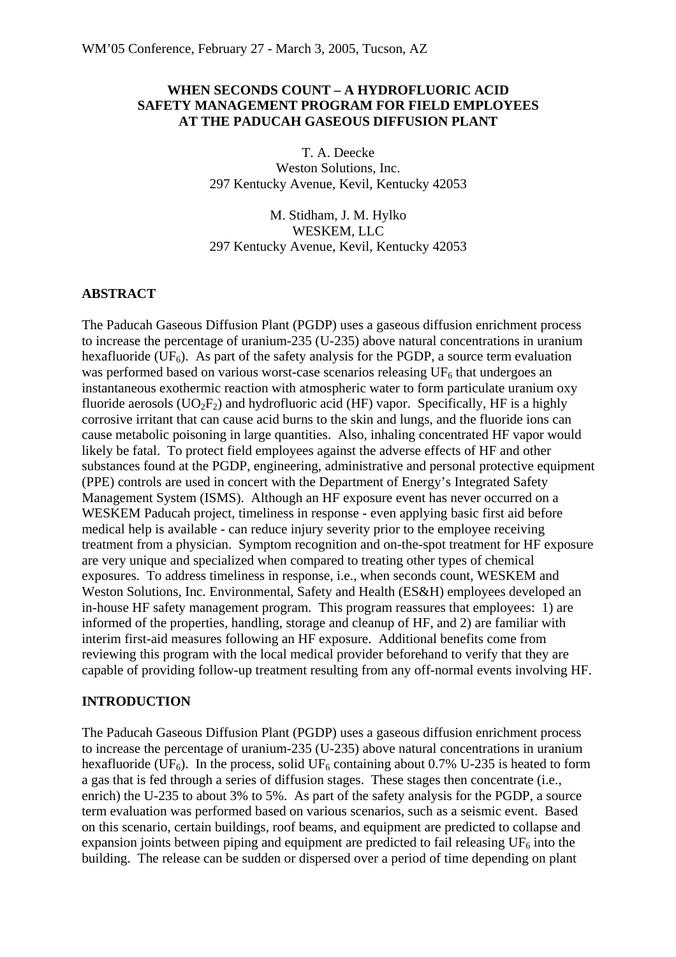## **WHEN SECONDS COUNT – A HYDROFLUORIC ACID SAFETY MANAGEMENT PROGRAM FOR FIELD EMPLOYEES AT THE PADUCAH GASEOUS DIFFUSION PLANT**

T. A. Deecke Weston Solutions, Inc. 297 Kentucky Avenue, Kevil, Kentucky 42053

M. Stidham, J. M. Hylko WESKEM, LLC 297 Kentucky Avenue, Kevil, Kentucky 42053

#### **ABSTRACT**

The Paducah Gaseous Diffusion Plant (PGDP) uses a gaseous diffusion enrichment process to increase the percentage of uranium-235 (U-235) above natural concentrations in uranium hexafluoride (UF<sub>6</sub>). As part of the safety analysis for the PGDP, a source term evaluation was performed based on various worst-case scenarios releasing  $UF<sub>6</sub>$  that undergoes an instantaneous exothermic reaction with atmospheric water to form particulate uranium oxy fluoride aerosols  $(UO_2F_2)$  and hydrofluoric acid (HF) vapor. Specifically, HF is a highly corrosive irritant that can cause acid burns to the skin and lungs, and the fluoride ions can cause metabolic poisoning in large quantities. Also, inhaling concentrated HF vapor would likely be fatal. To protect field employees against the adverse effects of HF and other substances found at the PGDP, engineering, administrative and personal protective equipment (PPE) controls are used in concert with the Department of Energy's Integrated Safety Management System (ISMS). Although an HF exposure event has never occurred on a WESKEM Paducah project, timeliness in response - even applying basic first aid before medical help is available - can reduce injury severity prior to the employee receiving treatment from a physician. Symptom recognition and on-the-spot treatment for HF exposure are very unique and specialized when compared to treating other types of chemical exposures. To address timeliness in response, i.e., when seconds count, WESKEM and Weston Solutions, Inc. Environmental, Safety and Health (ES&H) employees developed an in-house HF safety management program. This program reassures that employees: 1) are informed of the properties, handling, storage and cleanup of HF, and 2) are familiar with interim first-aid measures following an HF exposure. Additional benefits come from reviewing this program with the local medical provider beforehand to verify that they are capable of providing follow-up treatment resulting from any off-normal events involving HF.

#### **INTRODUCTION**

The Paducah Gaseous Diffusion Plant (PGDP) uses a gaseous diffusion enrichment process to increase the percentage of uranium-235 (U-235) above natural concentrations in uranium hexafluoride (UF<sub>6</sub>). In the process, solid UF<sub>6</sub> containing about 0.7% U-235 is heated to form a gas that is fed through a series of diffusion stages. These stages then concentrate (i.e., enrich) the U-235 to about 3% to 5%. As part of the safety analysis for the PGDP, a source term evaluation was performed based on various scenarios, such as a seismic event. Based on this scenario, certain buildings, roof beams, and equipment are predicted to collapse and expansion joints between piping and equipment are predicted to fail releasing  $UF_6$  into the building. The release can be sudden or dispersed over a period of time depending on plant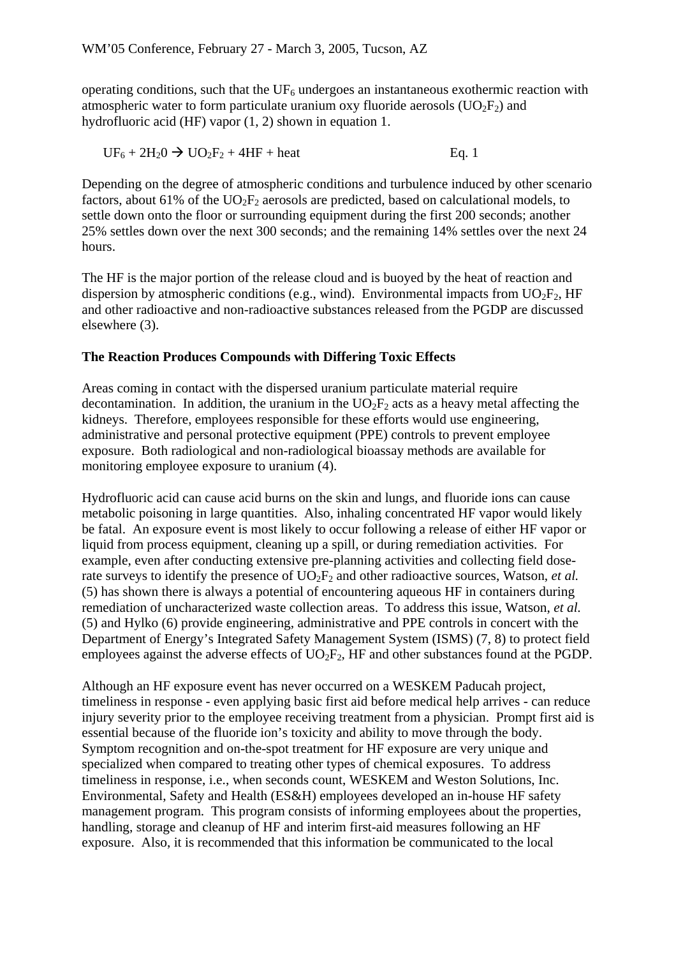operating conditions, such that the  $UF_6$  undergoes an instantaneous exothermic reaction with atmospheric water to form particulate uranium oxy fluoride aerosols  $(UO_2F_2)$  and hydrofluoric acid (HF) vapor (1, 2) shown in equation 1.

$$
UF_6 + 2H_2O \rightarrow UO_2F_2 + 4HF + heat
$$
 Eq. 1

Depending on the degree of atmospheric conditions and turbulence induced by other scenario factors, about 61% of the  $UO<sub>2</sub>F<sub>2</sub>$  aerosols are predicted, based on calculational models, to settle down onto the floor or surrounding equipment during the first 200 seconds; another 25% settles down over the next 300 seconds; and the remaining 14% settles over the next 24 hours.

The HF is the major portion of the release cloud and is buoyed by the heat of reaction and dispersion by atmospheric conditions (e.g., wind). Environmental impacts from  $UO_2F_2$ , HF and other radioactive and non-radioactive substances released from the PGDP are discussed elsewhere (3).

## **The Reaction Produces Compounds with Differing Toxic Effects**

Areas coming in contact with the dispersed uranium particulate material require decontamination. In addition, the uranium in the  $UO_2F_2$  acts as a heavy metal affecting the kidneys. Therefore, employees responsible for these efforts would use engineering, administrative and personal protective equipment (PPE) controls to prevent employee exposure. Both radiological and non-radiological bioassay methods are available for monitoring employee exposure to uranium (4).

Hydrofluoric acid can cause acid burns on the skin and lungs, and fluoride ions can cause metabolic poisoning in large quantities. Also, inhaling concentrated HF vapor would likely be fatal. An exposure event is most likely to occur following a release of either HF vapor or liquid from process equipment, cleaning up a spill, or during remediation activities. For example, even after conducting extensive pre-planning activities and collecting field doserate surveys to identify the presence of  $UO_2F_2$  and other radioactive sources, Watson, *et al.* (5) has shown there is always a potential of encountering aqueous HF in containers during remediation of uncharacterized waste collection areas. To address this issue, Watson, *et al.* (5) and Hylko (6) provide engineering, administrative and PPE controls in concert with the Department of Energy's Integrated Safety Management System (ISMS) (7, 8) to protect field employees against the adverse effects of  $UO_2F_2$ , HF and other substances found at the PGDP.

Although an HF exposure event has never occurred on a WESKEM Paducah project, timeliness in response - even applying basic first aid before medical help arrives - can reduce injury severity prior to the employee receiving treatment from a physician. Prompt first aid is essential because of the fluoride ion's toxicity and ability to move through the body. Symptom recognition and on-the-spot treatment for HF exposure are very unique and specialized when compared to treating other types of chemical exposures. To address timeliness in response, i.e., when seconds count, WESKEM and Weston Solutions, Inc. Environmental, Safety and Health (ES&H) employees developed an in-house HF safety management program. This program consists of informing employees about the properties, handling, storage and cleanup of HF and interim first-aid measures following an HF exposure. Also, it is recommended that this information be communicated to the local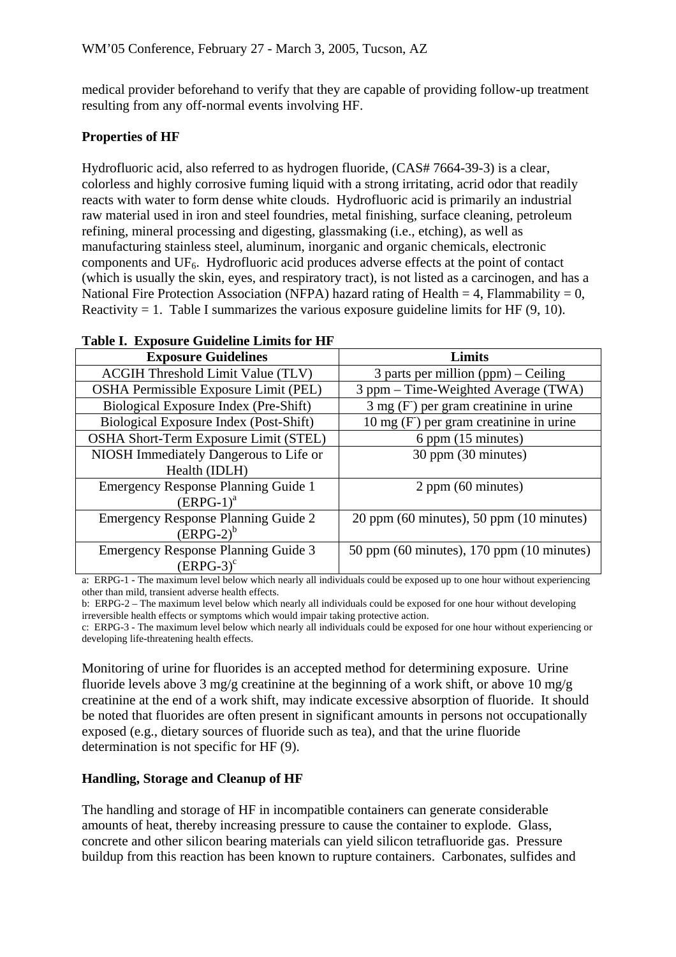medical provider beforehand to verify that they are capable of providing follow-up treatment resulting from any off-normal events involving HF.

# **Properties of HF**

Hydrofluoric acid, also referred to as hydrogen fluoride, (CAS# 7664-39-3) is a clear, colorless and highly corrosive fuming liquid with a strong irritating, acrid odor that readily reacts with water to form dense white clouds. Hydrofluoric acid is primarily an industrial raw material used in iron and steel foundries, metal finishing, surface cleaning, petroleum refining, mineral processing and digesting, glassmaking (i.e., etching), as well as manufacturing stainless steel, aluminum, inorganic and organic chemicals, electronic components and UF6. Hydrofluoric acid produces adverse effects at the point of contact (which is usually the skin, eyes, and respiratory tract), is not listed as a carcinogen, and has a National Fire Protection Association (NFPA) hazard rating of Health = 4, Flammability =  $0$ , Reactivity  $= 1$ . Table I summarizes the various exposure guideline limits for HF (9, 10).

#### **Table I. Exposure Guideline Limits for HF**

| <b>Exposure Guidelines</b>                 | Limits                                           |  |
|--------------------------------------------|--------------------------------------------------|--|
| <b>ACGIH Threshold Limit Value (TLV)</b>   | 3 parts per million $(ppm)$ – Ceiling            |  |
| OSHA Permissible Exposure Limit (PEL)      | 3 ppm – Time-Weighted Average (TWA)              |  |
| Biological Exposure Index (Pre-Shift)      | $3 \text{ mg}$ (F) per gram creatinine in urine  |  |
| Biological Exposure Index (Post-Shift)     | $10 \text{ mg}$ (F) per gram creatinine in urine |  |
| OSHA Short-Term Exposure Limit (STEL)      | 6 ppm (15 minutes)                               |  |
| NIOSH Immediately Dangerous to Life or     | 30 ppm (30 minutes)                              |  |
| Health (IDLH)                              |                                                  |  |
| <b>Emergency Response Planning Guide 1</b> | $2$ ppm (60 minutes)                             |  |
| $(ERPG-1)^a$                               |                                                  |  |
| <b>Emergency Response Planning Guide 2</b> | $20$ ppm (60 minutes), 50 ppm (10 minutes)       |  |
| $\overline{(ERPG-2)}^b$                    |                                                  |  |
| <b>Emergency Response Planning Guide 3</b> | 50 ppm (60 minutes), 170 ppm (10 minutes)        |  |
| $(ERPG-3)^c$                               |                                                  |  |

a: ERPG-1 - The maximum level below which nearly all individuals could be exposed up to one hour without experiencing other than mild, transient adverse health effects.

b: ERPG-2 – The maximum level below which nearly all individuals could be exposed for one hour without developing irreversible health effects or symptoms which would impair taking protective action.

c: ERPG-3 - The maximum level below which nearly all individuals could be exposed for one hour without experiencing or developing life-threatening health effects.

Monitoring of urine for fluorides is an accepted method for determining exposure. Urine fluoride levels above 3 mg/g creatinine at the beginning of a work shift, or above 10 mg/g creatinine at the end of a work shift, may indicate excessive absorption of fluoride. It should be noted that fluorides are often present in significant amounts in persons not occupationally exposed (e.g., dietary sources of fluoride such as tea), and that the urine fluoride determination is not specific for HF (9).

## **Handling, Storage and Cleanup of HF**

The handling and storage of HF in incompatible containers can generate considerable amounts of heat, thereby increasing pressure to cause the container to explode. Glass, concrete and other silicon bearing materials can yield silicon tetrafluoride gas. Pressure buildup from this reaction has been known to rupture containers. Carbonates, sulfides and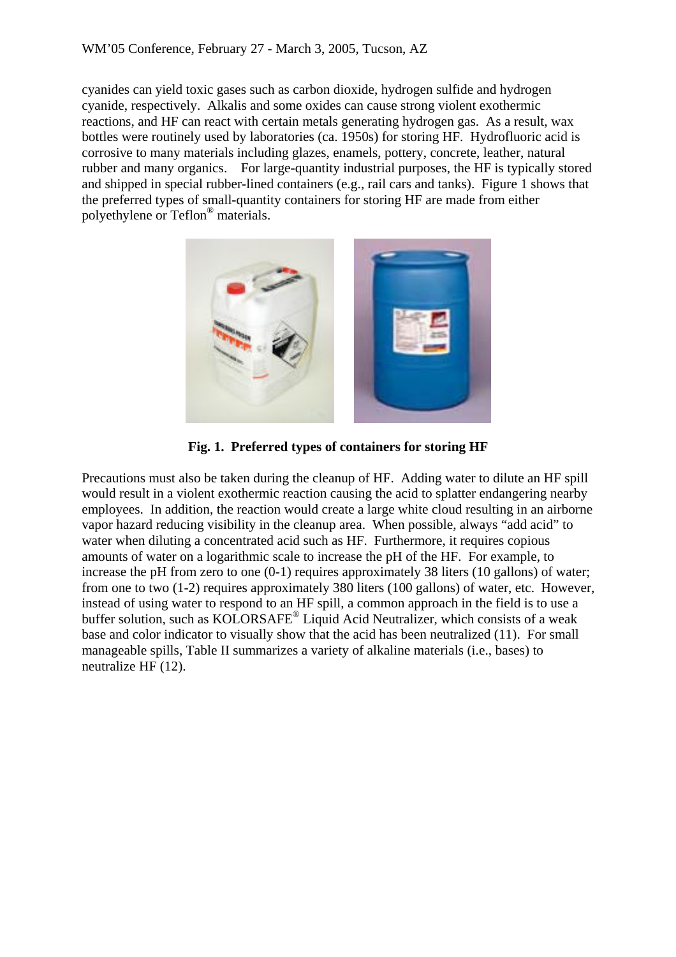cyanides can yield toxic gases such as carbon dioxide, hydrogen sulfide and hydrogen cyanide, respectively. Alkalis and some oxides can cause strong violent exothermic reactions, and HF can react with certain metals generating hydrogen gas. As a result, wax bottles were routinely used by laboratories (ca. 1950s) for storing HF. Hydrofluoric acid is corrosive to many materials including glazes, enamels, pottery, concrete, leather, natural rubber and many organics. For large-quantity industrial purposes, the HF is typically stored and shipped in special rubber-lined containers (e.g., rail cars and tanks). Figure 1 shows that the preferred types of small-quantity containers for storing HF are made from either polyethylene or Teflon® materials.



**Fig. 1. Preferred types of containers for storing HF** 

Precautions must also be taken during the cleanup of HF. Adding water to dilute an HF spill would result in a violent exothermic reaction causing the acid to splatter endangering nearby employees. In addition, the reaction would create a large white cloud resulting in an airborne vapor hazard reducing visibility in the cleanup area. When possible, always "add acid" to water when diluting a concentrated acid such as HF. Furthermore, it requires copious amounts of water on a logarithmic scale to increase the pH of the HF. For example, to increase the pH from zero to one (0-1) requires approximately 38 liters (10 gallons) of water; from one to two (1-2) requires approximately 380 liters (100 gallons) of water, etc. However, instead of using water to respond to an HF spill, a common approach in the field is to use a buffer solution, such as KOLORSAFE<sup>®</sup> Liquid Acid Neutralizer, which consists of a weak base and color indicator to visually show that the acid has been neutralized (11). For small manageable spills, Table II summarizes a variety of alkaline materials (i.e., bases) to neutralize HF (12).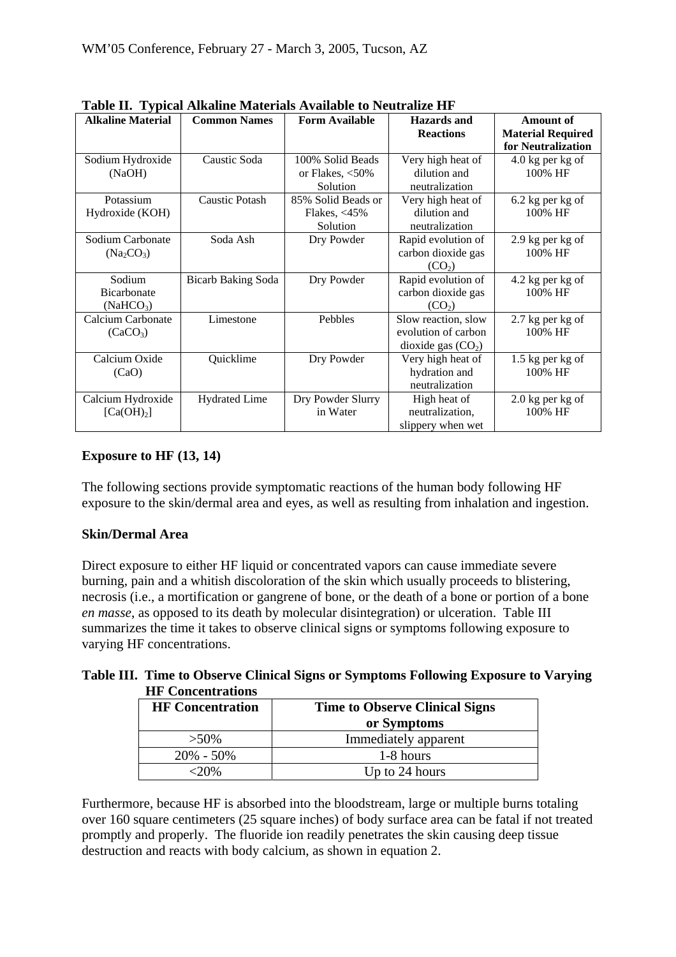| $\cdots$<br><b>Alkaline Material</b> | <b>Common Names</b>       | <b>Form Available</b> | <b>Hazards</b> and  | <b>Amount of</b>         |
|--------------------------------------|---------------------------|-----------------------|---------------------|--------------------------|
|                                      |                           |                       | <b>Reactions</b>    | <b>Material Required</b> |
|                                      |                           |                       |                     | for Neutralization       |
| Sodium Hydroxide                     | Caustic Soda              | 100% Solid Beads      | Very high heat of   | $4.0$ kg per kg of       |
| (NaOH)                               |                           | or Flakes, $<$ 50%    | dilution and        | 100% HF                  |
|                                      |                           | Solution              | neutralization      |                          |
| Potassium                            | <b>Caustic Potash</b>     | 85% Solid Beads or    | Very high heat of   | 6.2 kg per kg of         |
| Hydroxide (KOH)                      |                           | Flakes, $<$ 45%       | dilution and        | 100% HF                  |
|                                      |                           | Solution              | neutralization      |                          |
| Sodium Carbonate                     | Soda Ash                  | Dry Powder            | Rapid evolution of  | $2.9$ kg per kg of       |
| $(Na_2CO_3)$                         |                           |                       | carbon dioxide gas  | 100% HF                  |
|                                      |                           |                       | (CO <sub>2</sub> )  |                          |
| Sodium                               | <b>Bicarb Baking Soda</b> | Dry Powder            | Rapid evolution of  | 4.2 kg per kg of         |
| Bicarbonate                          |                           |                       | carbon dioxide gas  | 100% HF                  |
| (NaHCO <sub>3</sub> )                |                           |                       | (CO <sub>2</sub> )  |                          |
| Calcium Carbonate                    | Limestone                 | Pebbles               | Slow reaction, slow | 2.7 kg per kg of         |
| (CaCO <sub>3</sub> )                 |                           |                       | evolution of carbon | 100% HF                  |
|                                      |                           |                       | dioxide gas $(CO2)$ |                          |
| Calcium Oxide                        | Quicklime                 | Dry Powder            | Very high heat of   | 1.5 kg per kg of         |
| (CaO)                                |                           |                       | hydration and       | 100% HF                  |
|                                      |                           |                       | neutralization      |                          |
| Calcium Hydroxide                    | <b>Hydrated Lime</b>      | Dry Powder Slurry     | High heat of        | $2.0$ kg per kg of       |
| [Ca(OH) <sub>2</sub> ]               |                           | in Water              | neutralization,     | 100% HF                  |
|                                      |                           |                       | slippery when wet   |                          |

**Table II. Typical Alkaline Materials Available to Neutralize HF** 

# **Exposure to HF (13, 14)**

The following sections provide symptomatic reactions of the human body following HF exposure to the skin/dermal area and eyes, as well as resulting from inhalation and ingestion.

## **Skin/Dermal Area**

Direct exposure to either HF liquid or concentrated vapors can cause immediate severe burning, pain and a whitish discoloration of the skin which usually proceeds to blistering, necrosis (i.e., a mortification or gangrene of bone, or the death of a bone or portion of a bone *en masse*, as opposed to its death by molecular disintegration) or ulceration. Table III summarizes the time it takes to observe clinical signs or symptoms following exposure to varying HF concentrations.

**Table III. Time to Observe Clinical Signs or Symptoms Following Exposure to Varying HF Concentrations** 

| <b>HF</b> Concentration | <b>Time to Observe Clinical Signs</b> |
|-------------------------|---------------------------------------|
|                         | or Symptoms                           |
| $>50\%$                 | Immediately apparent                  |
| $20\% - 50\%$           | 1-8 hours                             |
| $< 20\%$                | Up to 24 hours                        |

Furthermore, because HF is absorbed into the bloodstream, large or multiple burns totaling over 160 square centimeters (25 square inches) of body surface area can be fatal if not treated promptly and properly. The fluoride ion readily penetrates the skin causing deep tissue destruction and reacts with body calcium, as shown in equation 2.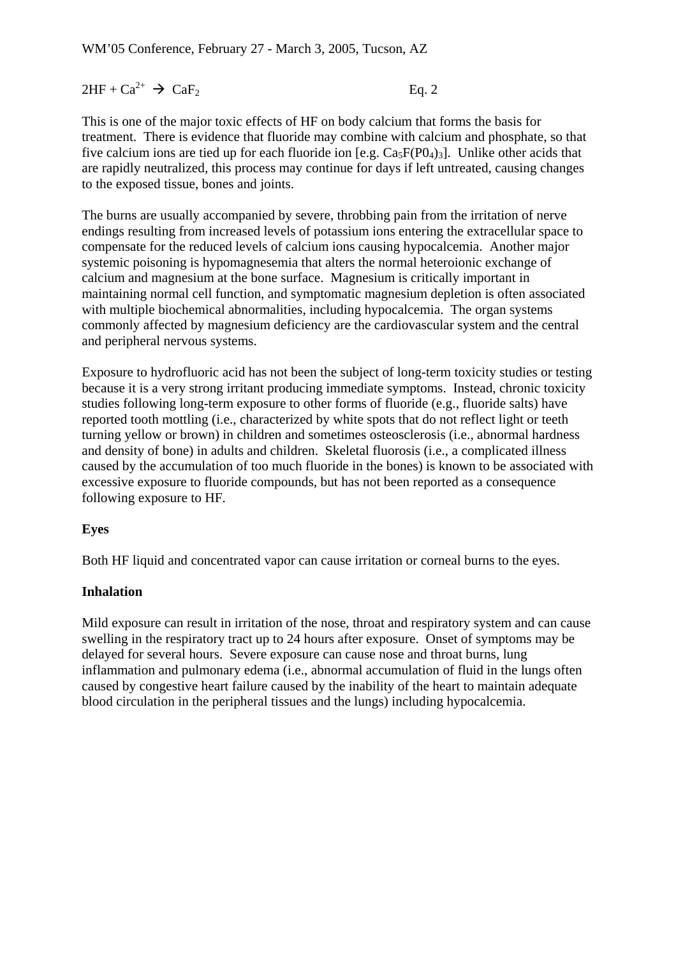$2HF + Ca^{2+} \rightarrow CaF_2$  Eq. 2

This is one of the major toxic effects of HF on body calcium that forms the basis for treatment. There is evidence that fluoride may combine with calcium and phosphate, so that five calcium ions are tied up for each fluoride ion [e.g.  $Ca<sub>5</sub>F(P0<sub>4</sub>)<sub>3</sub>$ ]. Unlike other acids that are rapidly neutralized, this process may continue for days if left untreated, causing changes to the exposed tissue, bones and joints.

The burns are usually accompanied by severe, throbbing pain from the irritation of nerve endings resulting from increased levels of potassium ions entering the extracellular space to compensate for the reduced levels of calcium ions causing hypocalcemia. Another major systemic poisoning is hypomagnesemia that alters the normal heteroionic exchange of calcium and magnesium at the bone surface. Magnesium is critically important in maintaining normal cell function, and symptomatic magnesium depletion is often associated with multiple biochemical abnormalities, including hypocalcemia. The organ systems commonly affected by magnesium deficiency are the cardiovascular system and the central and peripheral nervous systems.

Exposure to hydrofluoric acid has not been the subject of long-term toxicity studies or testing because it is a very strong irritant producing immediate symptoms. Instead, chronic toxicity studies following long-term exposure to other forms of fluoride (e.g., fluoride salts) have reported tooth mottling (i.e., characterized by white spots that do not reflect light or teeth turning yellow or brown) in children and sometimes osteosclerosis (i.e., abnormal hardness and density of bone) in adults and children. Skeletal fluorosis (i.e., a complicated illness caused by the accumulation of too much fluoride in the bones) is known to be associated with excessive exposure to fluoride compounds, but has not been reported as a consequence following exposure to HF.

## **Eyes**

Both HF liquid and concentrated vapor can cause irritation or corneal burns to the eyes.

## **Inhalation**

Mild exposure can result in irritation of the nose, throat and respiratory system and can cause swelling in the respiratory tract up to 24 hours after exposure. Onset of symptoms may be delayed for several hours. Severe exposure can cause nose and throat burns, lung inflammation and pulmonary edema (i.e., abnormal accumulation of fluid in the lungs often caused by congestive heart failure caused by the inability of the heart to maintain adequate blood circulation in the peripheral tissues and the lungs) including hypocalcemia.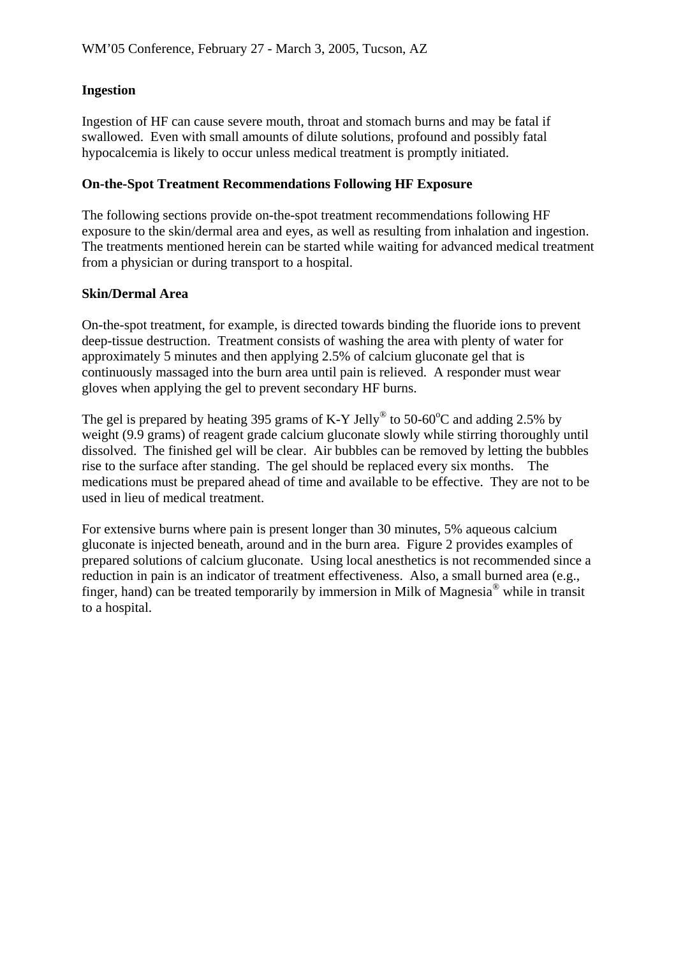## **Ingestion**

Ingestion of HF can cause severe mouth, throat and stomach burns and may be fatal if swallowed. Even with small amounts of dilute solutions, profound and possibly fatal hypocalcemia is likely to occur unless medical treatment is promptly initiated.

#### **On-the-Spot Treatment Recommendations Following HF Exposure**

The following sections provide on-the-spot treatment recommendations following HF exposure to the skin/dermal area and eyes, as well as resulting from inhalation and ingestion. The treatments mentioned herein can be started while waiting for advanced medical treatment from a physician or during transport to a hospital.

#### **Skin/Dermal Area**

On-the-spot treatment, for example, is directed towards binding the fluoride ions to prevent deep-tissue destruction. Treatment consists of washing the area with plenty of water for approximately 5 minutes and then applying 2.5% of calcium gluconate gel that is continuously massaged into the burn area until pain is relieved. A responder must wear gloves when applying the gel to prevent secondary HF burns.

The gel is prepared by heating 395 grams of K-Y Jelly<sup>®</sup> to 50-60<sup>o</sup>C and adding 2.5% by weight (9.9 grams) of reagent grade calcium gluconate slowly while stirring thoroughly until dissolved. The finished gel will be clear. Air bubbles can be removed by letting the bubbles rise to the surface after standing. The gel should be replaced every six months. The medications must be prepared ahead of time and available to be effective. They are not to be used in lieu of medical treatment.

For extensive burns where pain is present longer than 30 minutes, 5% aqueous calcium gluconate is injected beneath, around and in the burn area. Figure 2 provides examples of prepared solutions of calcium gluconate. Using local anesthetics is not recommended since a reduction in pain is an indicator of treatment effectiveness. Also, a small burned area (e.g., finger, hand) can be treated temporarily by immersion in Milk of Magnesia® while in transit to a hospital.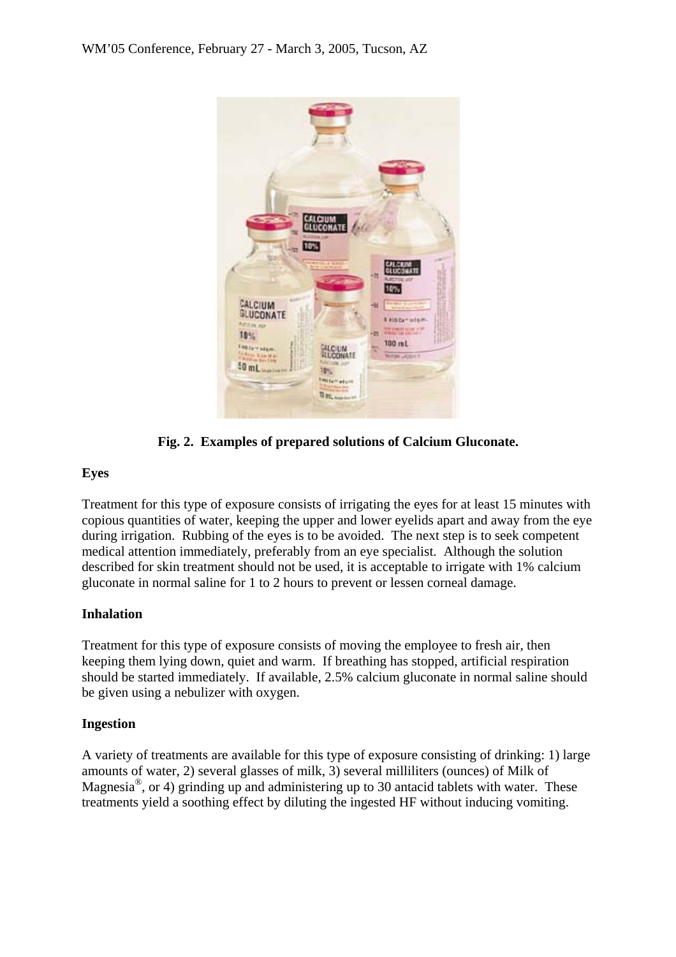

**Fig. 2. Examples of prepared solutions of Calcium Gluconate.** 

# **Eyes**

Treatment for this type of exposure consists of irrigating the eyes for at least 15 minutes with copious quantities of water, keeping the upper and lower eyelids apart and away from the eye during irrigation. Rubbing of the eyes is to be avoided. The next step is to seek competent medical attention immediately, preferably from an eye specialist. Although the solution described for skin treatment should not be used, it is acceptable to irrigate with 1% calcium gluconate in normal saline for 1 to 2 hours to prevent or lessen corneal damage.

## **Inhalation**

Treatment for this type of exposure consists of moving the employee to fresh air, then keeping them lying down, quiet and warm. If breathing has stopped, artificial respiration should be started immediately. If available, 2.5% calcium gluconate in normal saline should be given using a nebulizer with oxygen.

## **Ingestion**

A variety of treatments are available for this type of exposure consisting of drinking: 1) large amounts of water, 2) several glasses of milk, 3) several milliliters (ounces) of Milk of Magnesia<sup>®</sup>, or 4) grinding up and administering up to 30 antacid tablets with water. These treatments yield a soothing effect by diluting the ingested HF without inducing vomiting.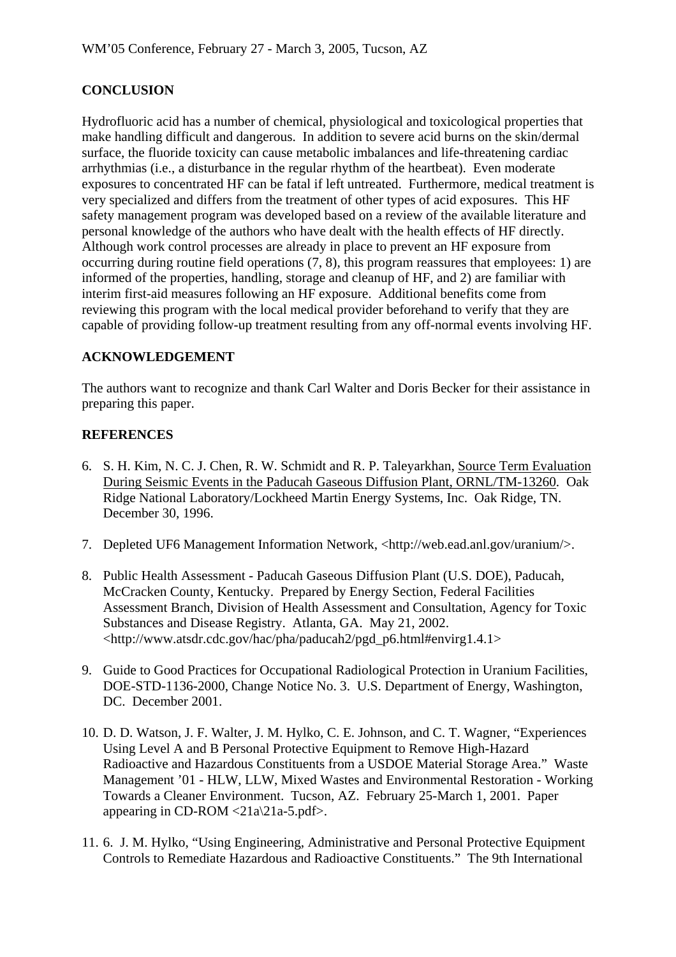# **CONCLUSION**

Hydrofluoric acid has a number of chemical, physiological and toxicological properties that make handling difficult and dangerous. In addition to severe acid burns on the skin/dermal surface, the fluoride toxicity can cause metabolic imbalances and life-threatening cardiac arrhythmias (i.e., a disturbance in the regular rhythm of the heartbeat). Even moderate exposures to concentrated HF can be fatal if left untreated. Furthermore, medical treatment is very specialized and differs from the treatment of other types of acid exposures. This HF safety management program was developed based on a review of the available literature and personal knowledge of the authors who have dealt with the health effects of HF directly. Although work control processes are already in place to prevent an HF exposure from occurring during routine field operations (7, 8), this program reassures that employees: 1) are informed of the properties, handling, storage and cleanup of HF, and 2) are familiar with interim first-aid measures following an HF exposure. Additional benefits come from reviewing this program with the local medical provider beforehand to verify that they are capable of providing follow-up treatment resulting from any off-normal events involving HF.

# **ACKNOWLEDGEMENT**

The authors want to recognize and thank Carl Walter and Doris Becker for their assistance in preparing this paper.

# **REFERENCES**

- 6. S. H. Kim, N. C. J. Chen, R. W. Schmidt and R. P. Taleyarkhan, Source Term Evaluation During Seismic Events in the Paducah Gaseous Diffusion Plant, ORNL/TM-13260. Oak Ridge National Laboratory/Lockheed Martin Energy Systems, Inc. Oak Ridge, TN. December 30, 1996.
- 7. Depleted UF6 Management Information Network, <http://web.ead.anl.gov/uranium/>.
- 8. Public Health Assessment Paducah Gaseous Diffusion Plant (U.S. DOE), Paducah, McCracken County, Kentucky. Prepared by Energy Section, Federal Facilities Assessment Branch, Division of Health Assessment and Consultation, Agency for Toxic Substances and Disease Registry. Atlanta, GA. May 21, 2002. <http://www.atsdr.cdc.gov/hac/pha/paducah2/pgd\_p6.html#envirg1.4.1>
- 9. Guide to Good Practices for Occupational Radiological Protection in Uranium Facilities, DOE-STD-1136-2000, Change Notice No. 3. U.S. Department of Energy, Washington, DC. December 2001.
- 10. D. D. Watson, J. F. Walter, J. M. Hylko, C. E. Johnson, and C. T. Wagner, "Experiences Using Level A and B Personal Protective Equipment to Remove High-Hazard Radioactive and Hazardous Constituents from a USDOE Material Storage Area." Waste Management '01 - HLW, LLW, Mixed Wastes and Environmental Restoration - Working Towards a Cleaner Environment. Tucson, AZ. February 25-March 1, 2001. Paper appearing in CD-ROM  $\langle 21a \rangle 21a-5.$  pdf>.
- 11. 6. J. M. Hylko, "Using Engineering, Administrative and Personal Protective Equipment Controls to Remediate Hazardous and Radioactive Constituents." The 9th International